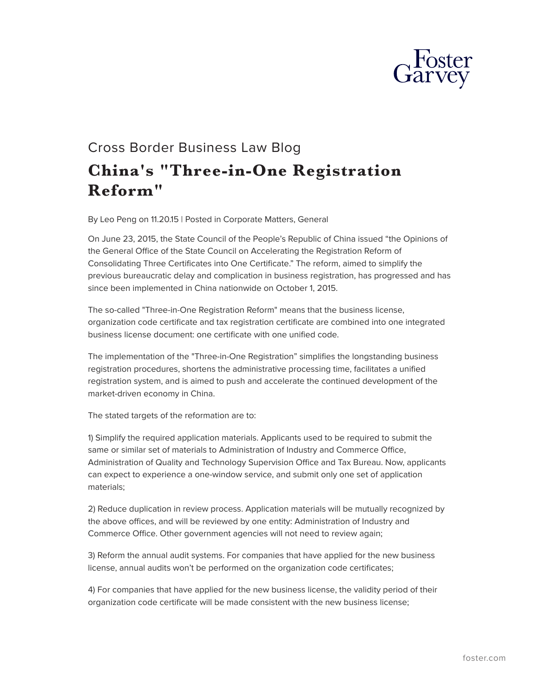

## Cross Border Business Law Blog **China's "Three-in-One Registration Reform"**

By Leo Peng on 11.20.15 | Posted in Corporate Matters, General

On June 23, 2015, the State Council of the People's Republic of China issued "the Opinions of the General Office of the State Council on Accelerating the Registration Reform of Consolidating Three Certificates into One Certificate." The reform, aimed to simplify the previous bureaucratic delay and complication in business registration, has progressed and has since been implemented in China nationwide on October 1, 2015.

The so-called "Three-in-One Registration Reform" means that the business license, organization code certificate and tax registration certificate are combined into one integrated business license document: one certificate with one unified code.

The implementation of the "Three-in-One Registration" simplifies the longstanding business registration procedures, shortens the administrative processing time, facilitates a unified registration system, and is aimed to push and accelerate the continued development of the market-driven economy in China.

The stated targets of the reformation are to:

1) Simplify the required application materials. Applicants used to be required to submit the same or similar set of materials to Administration of Industry and Commerce Office, Administration of Quality and Technology Supervision Office and Tax Bureau. Now, applicants can expect to experience a one-window service, and submit only one set of application materials;

2) Reduce duplication in review process. Application materials will be mutually recognized by the above offices, and will be reviewed by one entity: Administration of Industry and Commerce Office. Other government agencies will not need to review again;

3) Reform the annual audit systems. For companies that have applied for the new business license, annual audits won't be performed on the organization code certificates;

4) For companies that have applied for the new business license, the validity period of their organization code certificate will be made consistent with the new business license;